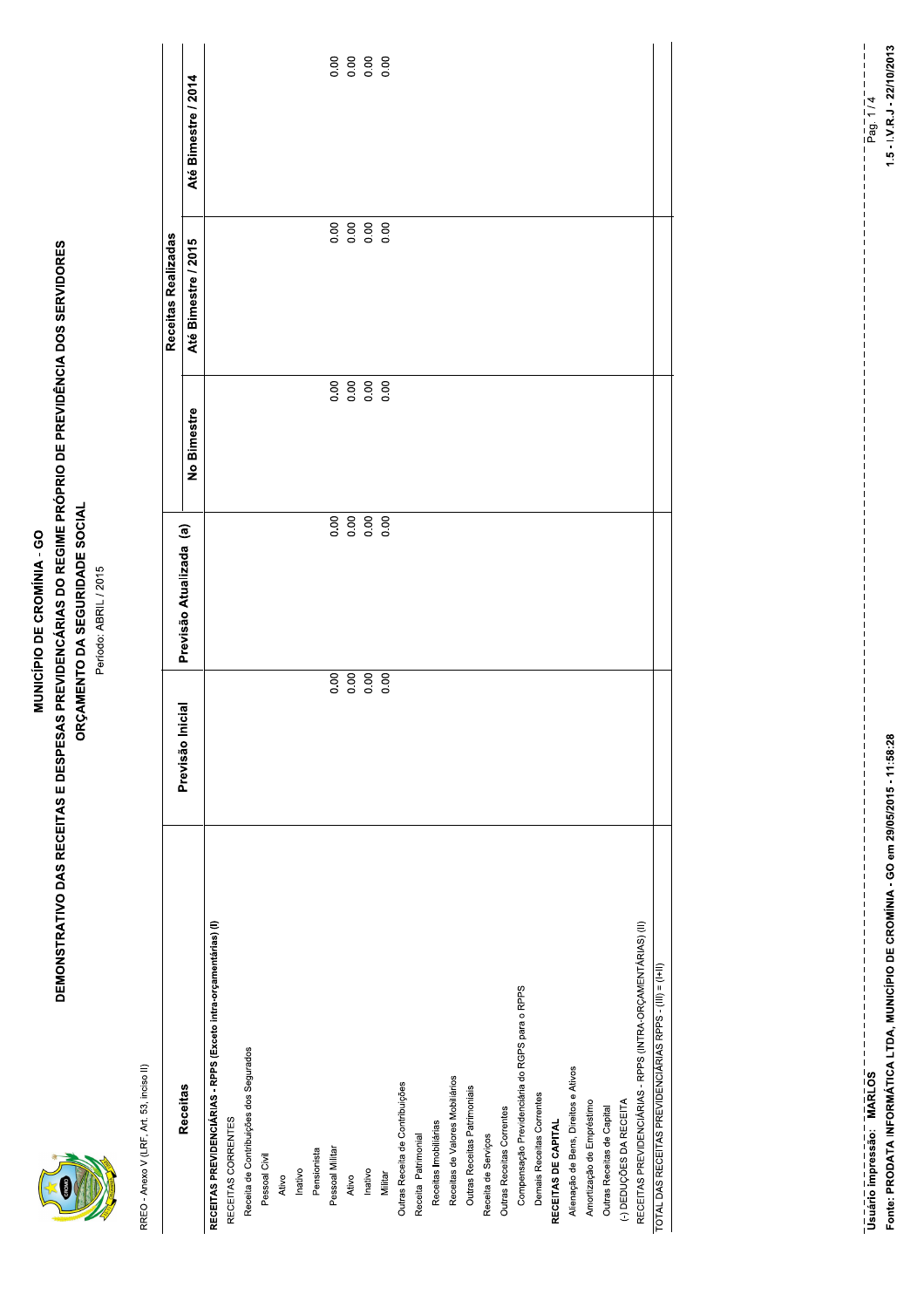|--|

### MUNICÍPIO DE CROMÍNIA - GO

# **DEMONSTRATIVO DAS RECEITAS E DESPESAS PREVIDENCÁRIAS DO REGIME PRÓPRIO DE PREVIDÊNCIA DOS SERVIDORES** ORÇAMENTO DA SEGURIDADE SOCIAL

Período: ABRIL / 2015

RREO - Anexo V (LRF, Art. 53, inciso II)

|                                                                  |                     |                         |             | Receitas Realizadas |                     |
|------------------------------------------------------------------|---------------------|-------------------------|-------------|---------------------|---------------------|
| <b>Receitas</b>                                                  | Inicial<br>Previsão | Previsão Atualizada (a) |             |                     |                     |
|                                                                  |                     |                         | No Bimestre | Até Bimestre / 2015 | Até Bimestre / 2014 |
| RECEITAS PREVIDENCIÁRIAS - RPPS (Exceto intra-orçamentárias) (I) |                     |                         |             |                     |                     |
| RECEITAS CORRENTES                                               |                     |                         |             |                     |                     |
| Receita de Contribuições dos Segurados                           |                     |                         |             |                     |                     |
| Pessoal Civil                                                    |                     |                         |             |                     |                     |
| Ativo                                                            |                     |                         |             |                     |                     |
| Inativo                                                          |                     |                         |             |                     |                     |
| Pensionista                                                      |                     |                         |             |                     |                     |
| Pessoal Militar                                                  | 0.00                |                         |             |                     | 0.00                |
| Ativo                                                            | 0.00                | 88888                   |             |                     |                     |
| Inativo                                                          | 0.00                |                         |             |                     |                     |
| Militar                                                          | 0.00                |                         |             |                     |                     |
| Outras Receita de Contribuições                                  |                     |                         |             |                     |                     |
| Receita Patrimonial                                              |                     |                         |             |                     |                     |
| Receitas Imobiliárias                                            |                     |                         |             |                     |                     |
| Receitas de Valores Mobiliários                                  |                     |                         |             |                     |                     |
| Outras Receitas Patrimoniais                                     |                     |                         |             |                     |                     |
| Receita de Serviços                                              |                     |                         |             |                     |                     |
| Outras Receitas Correntes                                        |                     |                         |             |                     |                     |
| Compensação Previdenciária do RGPS para o RPPS                   |                     |                         |             |                     |                     |
| Demais Receitas Correntes                                        |                     |                         |             |                     |                     |
| RECEITAS DE CAPITAL                                              |                     |                         |             |                     |                     |
| Alienação de Bens, Direitos e Ativos                             |                     |                         |             |                     |                     |
| Amortização de Empréstimo                                        |                     |                         |             |                     |                     |
| Outras Receitas de Capital                                       |                     |                         |             |                     |                     |
| (-) DEDUÇÕES DA RECEITA                                          |                     |                         |             |                     |                     |
| RECEITAS PREVIDENCIÁRIAS - RPPS (INTRA-ORÇAMENTÁRIAS) (II)       |                     |                         |             |                     |                     |
| TOTAL DAS RECEITAS PREVIDENCIÁRIAS RPPS - (III) = (I+II)         |                     |                         |             |                     |                     |

Fonte: PRODATA INFORMÁTICA LTDA, MUNICÍPIO DE CROMÍNIA - GO em 29/05/2015 - 11:58:28 -----------------------------<br>Usuário impressão: MARLOS

 $1.5 - I.V.R.J - 22/10/2013$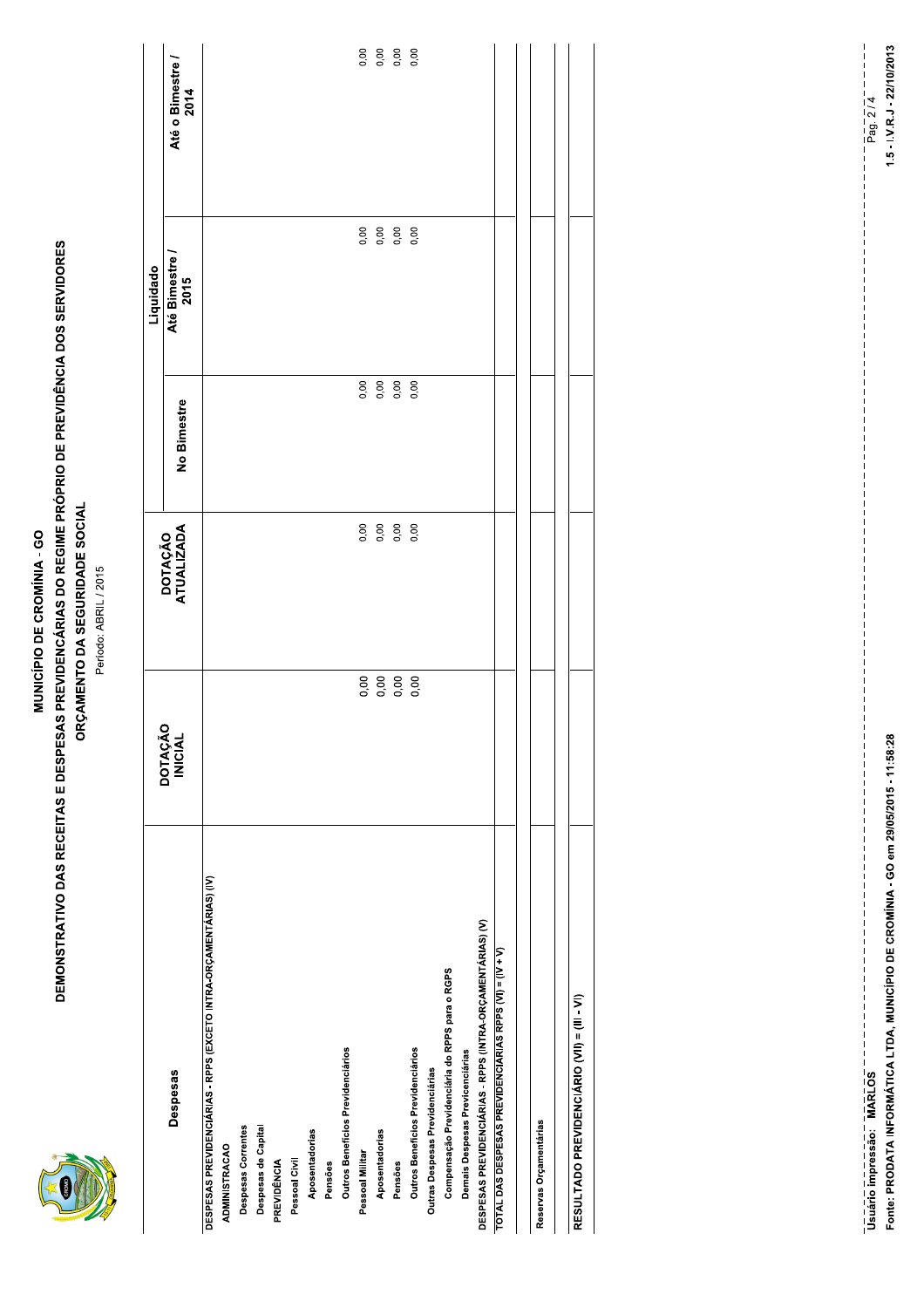#### MUNICÍPIO DE CROMÍNIA - GO

# **DEMONSTRATIVO DAS RECEITAS E DESPESAS PREVIDENCÁRIAS DO REGIME PRÓPRIO DE PREVIDÊNCIA DOS SERVIDORES** ORÇAMENTO DA SEGURIDADE SOCIAL

Período: ABRIL / 2015

|                                                                   |                                  |                       |                     | Liquidado              |                          |
|-------------------------------------------------------------------|----------------------------------|-----------------------|---------------------|------------------------|--------------------------|
| Despesas                                                          | <b>DOTAÇÃO</b><br><b>INICIAL</b> | DOTAÇÃO<br>ATUALIZADA | No Bimestre         | Até Bimestre /<br>2015 | Até o Bimestre /<br>2014 |
| DESPESAS PREVIDENCIÁRIAS - RPPS (EXCETO INTRA-ORÇAMENTÁRIAS) (IV) |                                  |                       |                     |                        |                          |
| <b>ADMINISTRACAO</b>                                              |                                  |                       |                     |                        |                          |
| Despesas Correntes                                                |                                  |                       |                     |                        |                          |
| Despesas de Capital                                               |                                  |                       |                     |                        |                          |
| PREVIDÊNCIA                                                       |                                  |                       |                     |                        |                          |
| Pessoal Civil                                                     |                                  |                       |                     |                        |                          |
| Aposentadorias                                                    |                                  |                       |                     |                        |                          |
| Pensões                                                           |                                  |                       |                     |                        |                          |
| Outros Benefícios Previdenciários                                 |                                  |                       |                     |                        |                          |
| Pessoal Militar                                                   |                                  | 0,00                  | 0,00                |                        | 0,00                     |
| Aposentadorias                                                    |                                  | 0,00                  |                     |                        |                          |
| Pensões                                                           |                                  | 0,00                  | 0,00<br>0,00<br>0,0 |                        | 0,00<br>0,00             |
| Outros Benefícios Previdenciários                                 |                                  | 0,00                  |                     |                        |                          |
| Outras Despesas Previdenciárias                                   |                                  |                       |                     |                        |                          |
| Compensação Previdenciária do RPPS para o RGPS                    |                                  |                       |                     |                        |                          |
| Demais Despesas Previcenciárias                                   |                                  |                       |                     |                        |                          |
| DESPESAS PREVIDENCIÁRIAS - RPPS (INTRA-ORÇAMENTÁRIAS) (V)         |                                  |                       |                     |                        |                          |
| TOTAL DAS DESPESAS PREVIDENCIÁRIAS RPPS (VI) = (IV + V)           |                                  |                       |                     |                        |                          |
|                                                                   |                                  |                       |                     |                        |                          |
| Reservas Orçamentárias                                            |                                  |                       |                     |                        |                          |
|                                                                   |                                  |                       |                     |                        |                          |
| RESULTADO PREVIDENCIÁRIO (VII) = (III - VI)                       |                                  |                       |                     |                        |                          |

Fonte: PRODATA INFORMÁTICA LTDA, MUNICÍPIO DE CROMÍNIA - GO em 29/05/2015 - 11:58:28 

 $1.5 - I.V.R.J - 22/10/2013$  $=$   $\frac{1}{2}$  $\frac{1}{2}$  $\frac{1}{4}$  $\frac{1}{4}$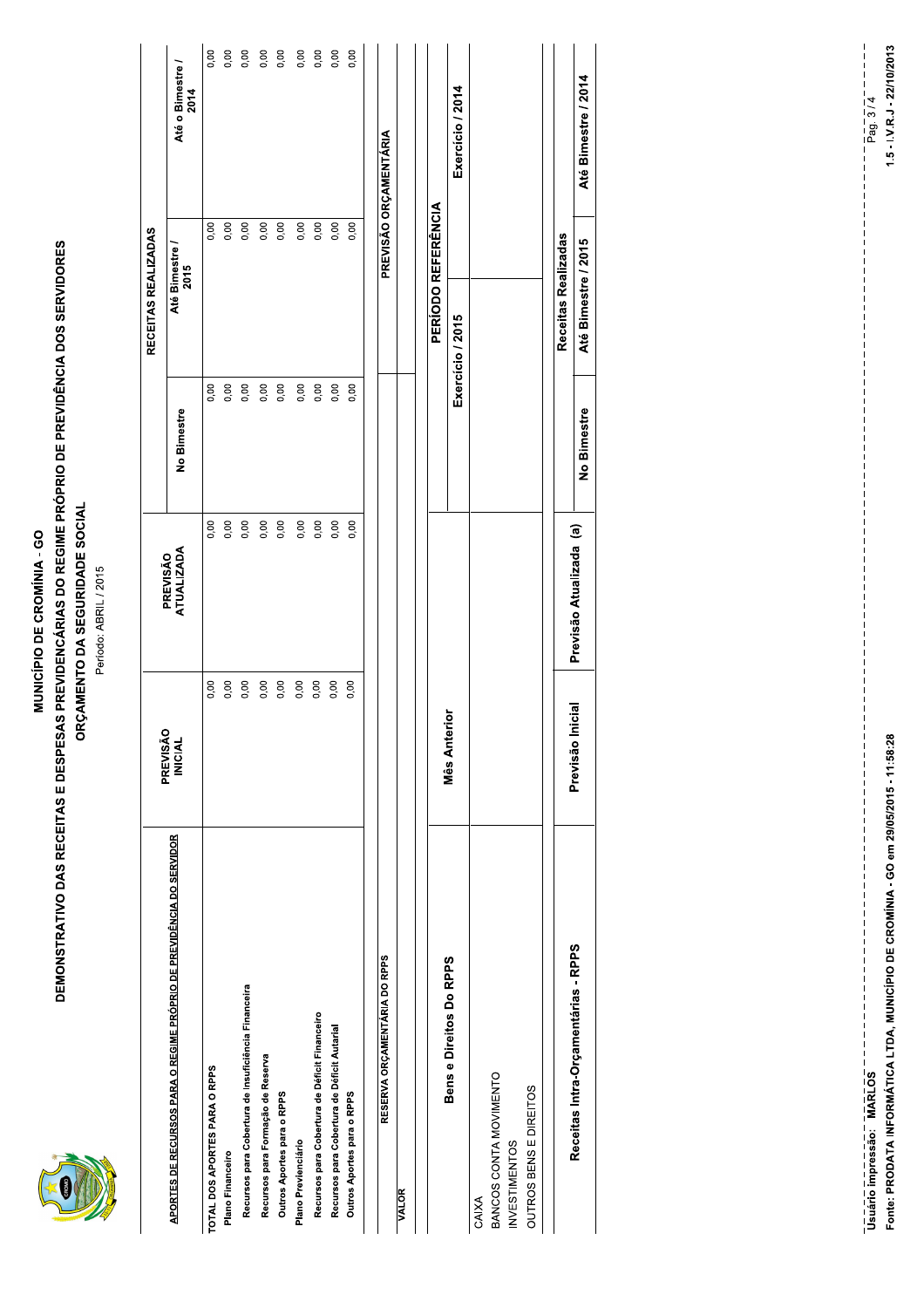|--|

#### MUNICÍPIO DE CROMÍNIA - GO

# **DEMONSTRATIVO DAS RECEITAS E DESPESAS PREVIDENCÁRIAS DO REGIME PRÓPRIO DE PREVIDÊNCIA DOS SERVIDORES** ORÇAMENTO DA SEGURIDADE SOCIAL

Período: ABRIL / 2015

|                                                                                   | PREVISÃO            |                         |             | RECEITAS REALIZADAS       |                          |
|-----------------------------------------------------------------------------------|---------------------|-------------------------|-------------|---------------------------|--------------------------|
| APORTES DE RECURSOS PARA O REGIME PRÓPRIO DE PREVIDÊNCIA DO SERVIDOR              | <b>INICIAL</b>      | ATUALIZADA<br>PREVISÃO  | No Bimestre | Até Bimestre<br>2015      | Até o Bimestre /<br>2014 |
| TOTAL DOS APORTES PARA O RPPS                                                     | 0,00                | 0,00                    | 0,00        | 0,00                      | 0,00                     |
| Plano Financeiro                                                                  | 0,00                | 0,00                    | 0,00        | 0,00                      | 0,00                     |
| Recursos para Cobertura de Insuficiência Financeira                               | 0,00                | 0,00                    | 0,00        | 0,00                      | 0,00                     |
| Recursos para Formação de Reserva                                                 | 0,00                | 0,00                    | 0,00        | 0,00                      | 0,00                     |
| Outros Aportes para o RPPS                                                        | 0,00                | 0,00                    | 0,00        | 0,00                      | 0,00                     |
| Plano Previenciário                                                               | 0,00                | 0,00                    | 0,00        | 0,00                      | 0,00                     |
| Recursos para Cobertura de Déficit Financeiro                                     | 0,00                | 0,00                    | 0,00        | 0,00                      | 0,00                     |
| Recursos para Cobertura de Déficit Autarial                                       | 0,00                | 0,00                    | 0,00        | 0,00                      | 0,00                     |
| Outros Aportes para o RPPS                                                        | 0,00                | 0,00                    | 0,00        | 0,00                      | 0,00                     |
| RESERVA ORÇAMENTÁRIA DO RPPS                                                      |                     |                         |             |                           | PREVISÃO ORÇAMENTÁRIA    |
| <b>VALOR</b>                                                                      |                     |                         |             |                           |                          |
|                                                                                   |                     |                         |             | <b>PERIODO REFERÊNCIA</b> |                          |
| Bens e Direitos Do RPPS                                                           | Mês Anterior        |                         |             | Exercício / 2015          | Exercício / 2014         |
| BANCOS CONTA MOVIMENTO<br>OUTROS BENS E DIREITOS<br><b>INVESTIMENTOS</b><br>CAIXA |                     |                         |             |                           |                          |
|                                                                                   |                     |                         |             | Receitas Realizadas       |                          |
| Receitas Intra-Orçamentárias - RPPS                                               | Inicial<br>Previsão | Previsão Atualizada (a) | مشممتها ما  | Atá Dimactea / 2015       | ۱۹۵۸ میلم ۱ میلاد (۱۸۴۸  |
|                                                                                   |                     |                         |             |                           |                          |

Fonte: PRODATA INFORMÁTICA LTDA, MUNICÍPIO DE CROMÍNIA - GO em 29/05/2015 - 11:58:28 

Até Bimestre / 2014

Até Bimestre / 2015

No Bimestre